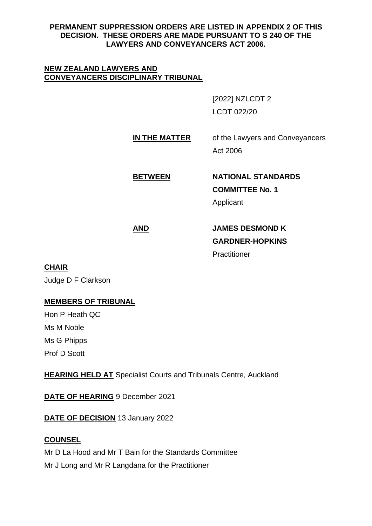### **PERMANENT SUPPRESSION ORDERS ARE LISTED IN APPENDIX 2 OF THIS DECISION. THESE ORDERS ARE MADE PURSUANT TO S 240 OF THE LAWYERS AND CONVEYANCERS ACT 2006.**

#### **NEW ZEALAND LAWYERS AND CONVEYANCERS DISCIPLINARY TRIBUNAL**

[2022] NZLCDT 2 LCDT 022/20

**IN THE MATTER** of the Lawyers and Conveyancers Act 2006

**BETWEEN NATIONAL STANDARDS COMMITTEE No. 1** Applicant

**AND JAMES DESMOND K GARDNER-HOPKINS Practitioner** 

# **CHAIR**

Judge D F Clarkson

# **MEMBERS OF TRIBUNAL**

Hon P Heath QC Ms M Noble Ms G Phipps Prof D Scott

**HEARING HELD AT** Specialist Courts and Tribunals Centre, Auckland

**DATE OF HEARING** 9 December 2021

**DATE OF DECISION** 13 January 2022

# **COUNSEL**

Mr D La Hood and Mr T Bain for the Standards Committee Mr J Long and Mr R Langdana for the Practitioner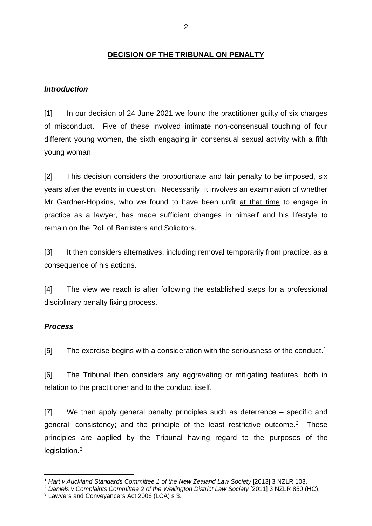### **DECISION OF THE TRIBUNAL ON PENALTY**

#### *Introduction*

[1] In our decision of 24 June 2021 we found the practitioner guilty of six charges of misconduct. Five of these involved intimate non-consensual touching of four different young women, the sixth engaging in consensual sexual activity with a fifth young woman.

[2] This decision considers the proportionate and fair penalty to be imposed, six years after the events in question. Necessarily, it involves an examination of whether Mr Gardner-Hopkins, who we found to have been unfit at that time to engage in practice as a lawyer, has made sufficient changes in himself and his lifestyle to remain on the Roll of Barristers and Solicitors.

[3] It then considers alternatives, including removal temporarily from practice, as a consequence of his actions.

[4] The view we reach is after following the established steps for a professional disciplinary penalty fixing process.

## *Process*

[5] The exercise begins with a consideration with the seriousness of the conduct.<sup>1</sup>

[6] The Tribunal then considers any aggravating or mitigating features, both in relation to the practitioner and to the conduct itself.

[7] We then apply general penalty principles such as deterrence – specific and general; consistency; and the principle of the least restrictive outcome.<sup>2</sup> These principles are applied by the Tribunal having regard to the purposes of the legislation.<sup>3</sup>

<sup>1</sup> *Hart v Auckland Standards Committee 1 of the New Zealand Law Society* [2013] 3 NZLR 103.

<sup>2</sup> *Daniels v Complaints Committee 2 of the Wellington District Law Society* [2011] 3 NZLR 850 (HC).

<sup>&</sup>lt;sup>3</sup> Lawyers and Conveyancers Act 2006 (LCA) s 3.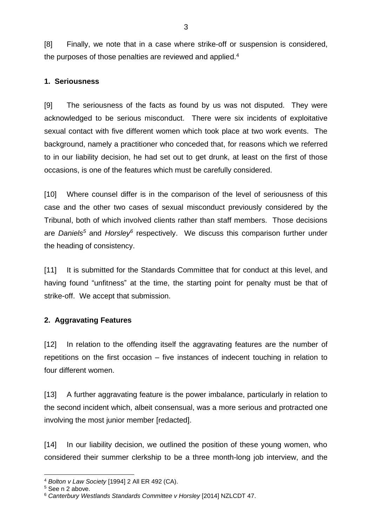[8] Finally, we note that in a case where strike-off or suspension is considered, the purposes of those penalties are reviewed and applied.<sup>4</sup>

### **1. Seriousness**

[9] The seriousness of the facts as found by us was not disputed. They were acknowledged to be serious misconduct. There were six incidents of exploitative sexual contact with five different women which took place at two work events. The background, namely a practitioner who conceded that, for reasons which we referred to in our liability decision, he had set out to get drunk, at least on the first of those occasions, is one of the features which must be carefully considered.

[10] Where counsel differ is in the comparison of the level of seriousness of this case and the other two cases of sexual misconduct previously considered by the Tribunal, both of which involved clients rather than staff members. Those decisions are *Daniels<sup>5</sup>* and *Horsley<sup>6</sup>* respectively. We discuss this comparison further under the heading of consistency.

[11] It is submitted for the Standards Committee that for conduct at this level, and having found "unfitness" at the time, the starting point for penalty must be that of strike-off. We accept that submission.

## **2. Aggravating Features**

[12] In relation to the offending itself the aggravating features are the number of repetitions on the first occasion – five instances of indecent touching in relation to four different women.

[13] A further aggravating feature is the power imbalance, particularly in relation to the second incident which, albeit consensual, was a more serious and protracted one involving the most junior member [redacted].

[14] In our liability decision, we outlined the position of these young women, who considered their summer clerkship to be a three month-long job interview, and the

<sup>4</sup> *Bolton v Law Society* [1994] 2 All ER 492 (CA).

<sup>5</sup> See n 2 above.

<sup>6</sup> *Canterbury Westlands Standards Committee v Horsley* [2014] NZLCDT 47.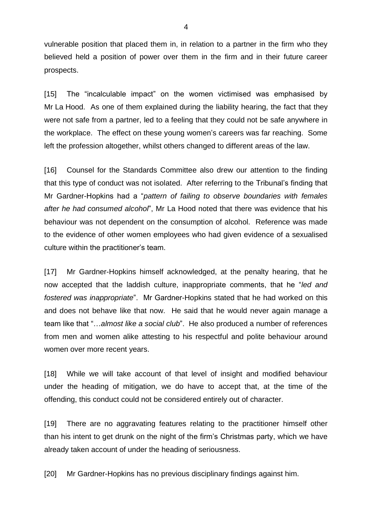vulnerable position that placed them in, in relation to a partner in the firm who they believed held a position of power over them in the firm and in their future career prospects.

[15] The "incalculable impact" on the women victimised was emphasised by Mr La Hood. As one of them explained during the liability hearing, the fact that they were not safe from a partner, led to a feeling that they could not be safe anywhere in the workplace. The effect on these young women's careers was far reaching. Some left the profession altogether, whilst others changed to different areas of the law.

[16] Counsel for the Standards Committee also drew our attention to the finding that this type of conduct was not isolated. After referring to the Tribunal's finding that Mr Gardner-Hopkins had a "*pattern of failing to observe boundaries with females after he had consumed alcohol*", Mr La Hood noted that there was evidence that his behaviour was not dependent on the consumption of alcohol. Reference was made to the evidence of other women employees who had given evidence of a sexualised culture within the practitioner's team.

[17] Mr Gardner-Hopkins himself acknowledged, at the penalty hearing, that he now accepted that the laddish culture, inappropriate comments, that he "*led and fostered was inappropriate*". Mr Gardner-Hopkins stated that he had worked on this and does not behave like that now. He said that he would never again manage a team like that "…*almost like a social club*". He also produced a number of references from men and women alike attesting to his respectful and polite behaviour around women over more recent years.

[18] While we will take account of that level of insight and modified behaviour under the heading of mitigation, we do have to accept that, at the time of the offending, this conduct could not be considered entirely out of character.

[19] There are no aggravating features relating to the practitioner himself other than his intent to get drunk on the night of the firm's Christmas party, which we have already taken account of under the heading of seriousness.

[20] Mr Gardner-Hopkins has no previous disciplinary findings against him.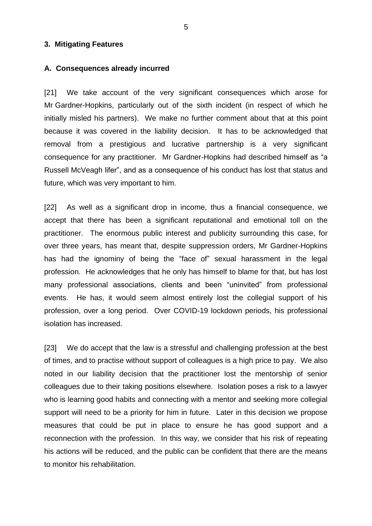#### **3. Mitigating Features**

#### **A. Consequences already incurred**

[21] We take account of the very significant consequences which arose for Mr Gardner-Hopkins, particularly out of the sixth incident (in respect of which he initially misled his partners). We make no further comment about that at this point because it was covered in the liability decision. It has to be acknowledged that removal from a prestigious and lucrative partnership is a very significant consequence for any practitioner. Mr Gardner-Hopkins had described himself as "a Russell McVeagh lifer", and as a consequence of his conduct has lost that status and future, which was very important to him.

[22] As well as a significant drop in income, thus a financial consequence, we accept that there has been a significant reputational and emotional toll on the practitioner. The enormous public interest and publicity surrounding this case, for over three years, has meant that, despite suppression orders, Mr Gardner-Hopkins has had the ignominy of being the "face of" sexual harassment in the legal profession. He acknowledges that he only has himself to blame for that, but has lost many professional associations, clients and been "uninvited" from professional events. He has, it would seem almost entirely lost the collegial support of his profession, over a long period. Over COVID-19 lockdown periods, his professional isolation has increased.

[23] We do accept that the law is a stressful and challenging profession at the best of times, and to practise without support of colleagues is a high price to pay. We also noted in our liability decision that the practitioner lost the mentorship of senior colleagues due to their taking positions elsewhere. Isolation poses a risk to a lawyer who is learning good habits and connecting with a mentor and seeking more collegial support will need to be a priority for him in future. Later in this decision we propose measures that could be put in place to ensure he has good support and a reconnection with the profession. In this way, we consider that his risk of repeating his actions will be reduced, and the public can be confident that there are the means to monitor his rehabilitation.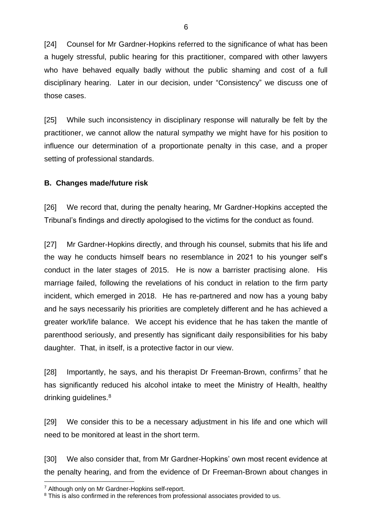[24] Counsel for Mr Gardner-Hopkins referred to the significance of what has been a hugely stressful, public hearing for this practitioner, compared with other lawyers who have behaved equally badly without the public shaming and cost of a full disciplinary hearing. Later in our decision, under "Consistency" we discuss one of those cases.

[25] While such inconsistency in disciplinary response will naturally be felt by the practitioner, we cannot allow the natural sympathy we might have for his position to influence our determination of a proportionate penalty in this case, and a proper setting of professional standards.

#### **B. Changes made/future risk**

[26] We record that, during the penalty hearing, Mr Gardner-Hopkins accepted the Tribunal's findings and directly apologised to the victims for the conduct as found.

[27] Mr Gardner-Hopkins directly, and through his counsel, submits that his life and the way he conducts himself bears no resemblance in 2021 to his younger self's conduct in the later stages of 2015. He is now a barrister practising alone. His marriage failed, following the revelations of his conduct in relation to the firm party incident, which emerged in 2018. He has re-partnered and now has a young baby and he says necessarily his priorities are completely different and he has achieved a greater work/life balance. We accept his evidence that he has taken the mantle of parenthood seriously, and presently has significant daily responsibilities for his baby daughter. That, in itself, is a protective factor in our view.

[28] Importantly, he says, and his therapist Dr Freeman-Brown, confirms<sup>7</sup> that he has significantly reduced his alcohol intake to meet the Ministry of Health, healthy drinking guidelines.<sup>8</sup>

[29] We consider this to be a necessary adjustment in his life and one which will need to be monitored at least in the short term.

[30] We also consider that, from Mr Gardner-Hopkins' own most recent evidence at the penalty hearing, and from the evidence of Dr Freeman-Brown about changes in

<sup>7</sup> Although only on Mr Gardner-Hopkins self-report.

<sup>&</sup>lt;sup>8</sup> This is also confirmed in the references from professional associates provided to us.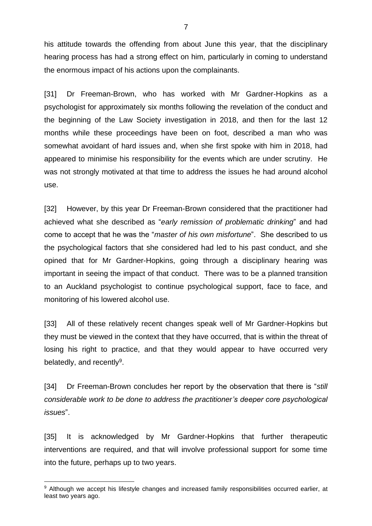his attitude towards the offending from about June this year, that the disciplinary hearing process has had a strong effect on him, particularly in coming to understand the enormous impact of his actions upon the complainants.

[31] Dr Freeman-Brown, who has worked with Mr Gardner-Hopkins as a psychologist for approximately six months following the revelation of the conduct and the beginning of the Law Society investigation in 2018, and then for the last 12 months while these proceedings have been on foot, described a man who was somewhat avoidant of hard issues and, when she first spoke with him in 2018, had appeared to minimise his responsibility for the events which are under scrutiny. He was not strongly motivated at that time to address the issues he had around alcohol use.

[32] However, by this year Dr Freeman-Brown considered that the practitioner had achieved what she described as "*early remission of problematic drinking*" and had come to accept that he was the "*master of his own misfortune*". She described to us the psychological factors that she considered had led to his past conduct, and she opined that for Mr Gardner-Hopkins, going through a disciplinary hearing was important in seeing the impact of that conduct. There was to be a planned transition to an Auckland psychologist to continue psychological support, face to face, and monitoring of his lowered alcohol use.

[33] All of these relatively recent changes speak well of Mr Gardner-Hopkins but they must be viewed in the context that they have occurred, that is within the threat of losing his right to practice, and that they would appear to have occurred very belatedly, and recently<sup>9</sup>.

[34] Dr Freeman-Brown concludes her report by the observation that there is "*still considerable work to be done to address the practitioner's deeper core psychological issues*".

[35] It is acknowledged by Mr Gardner-Hopkins that further therapeutic interventions are required, and that will involve professional support for some time into the future, perhaps up to two years.

<sup>9</sup> Although we accept his lifestyle changes and increased family responsibilities occurred earlier, at least two years ago.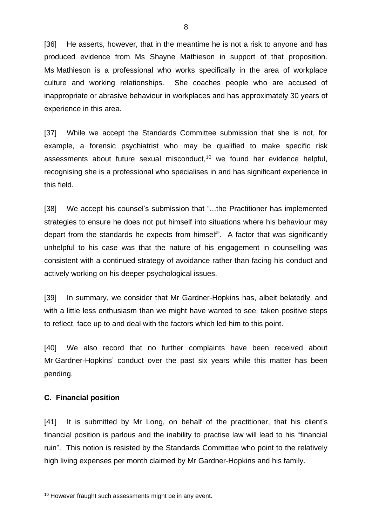[36] He asserts, however, that in the meantime he is not a risk to anyone and has produced evidence from Ms Shayne Mathieson in support of that proposition. Ms Mathieson is a professional who works specifically in the area of workplace culture and working relationships. She coaches people who are accused of inappropriate or abrasive behaviour in workplaces and has approximately 30 years of experience in this area.

[37] While we accept the Standards Committee submission that she is not, for example, a forensic psychiatrist who may be qualified to make specific risk assessments about future sexual misconduct, <sup>10</sup> we found her evidence helpful, recognising she is a professional who specialises in and has significant experience in this field.

[38] We accept his counsel's submission that "...the Practitioner has implemented strategies to ensure he does not put himself into situations where his behaviour may depart from the standards he expects from himself". A factor that was significantly unhelpful to his case was that the nature of his engagement in counselling was consistent with a continued strategy of avoidance rather than facing his conduct and actively working on his deeper psychological issues.

[39] In summary, we consider that Mr Gardner-Hopkins has, albeit belatedly, and with a little less enthusiasm than we might have wanted to see, taken positive steps to reflect, face up to and deal with the factors which led him to this point.

[40] We also record that no further complaints have been received about Mr Gardner-Hopkins' conduct over the past six years while this matter has been pending.

#### **C. Financial position**

[41] It is submitted by Mr Long, on behalf of the practitioner, that his client's financial position is parlous and the inability to practise law will lead to his "financial ruin". This notion is resisted by the Standards Committee who point to the relatively high living expenses per month claimed by Mr Gardner-Hopkins and his family.

<sup>&</sup>lt;sup>10</sup> However fraught such assessments might be in any event.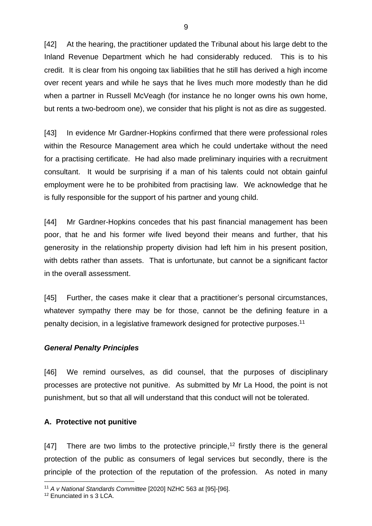[42] At the hearing, the practitioner updated the Tribunal about his large debt to the Inland Revenue Department which he had considerably reduced. This is to his credit. It is clear from his ongoing tax liabilities that he still has derived a high income over recent years and while he says that he lives much more modestly than he did when a partner in Russell McVeagh (for instance he no longer owns his own home, but rents a two-bedroom one), we consider that his plight is not as dire as suggested.

[43] In evidence Mr Gardner-Hopkins confirmed that there were professional roles within the Resource Management area which he could undertake without the need for a practising certificate. He had also made preliminary inquiries with a recruitment consultant. It would be surprising if a man of his talents could not obtain gainful employment were he to be prohibited from practising law. We acknowledge that he is fully responsible for the support of his partner and young child.

[44] Mr Gardner-Hopkins concedes that his past financial management has been poor, that he and his former wife lived beyond their means and further, that his generosity in the relationship property division had left him in his present position, with debts rather than assets. That is unfortunate, but cannot be a significant factor in the overall assessment.

[45] Further, the cases make it clear that a practitioner's personal circumstances, whatever sympathy there may be for those, cannot be the defining feature in a penalty decision, in a legislative framework designed for protective purposes.<sup>11</sup>

#### *General Penalty Principles*

[46] We remind ourselves, as did counsel, that the purposes of disciplinary processes are protective not punitive. As submitted by Mr La Hood, the point is not punishment, but so that all will understand that this conduct will not be tolerated.

#### **A. Protective not punitive**

[47] There are two limbs to the protective principle,<sup>12</sup> firstly there is the general protection of the public as consumers of legal services but secondly, there is the principle of the protection of the reputation of the profession. As noted in many

<sup>11</sup> *A v National Standards Committee* [2020] NZHC 563 at [95]-[96].

<sup>12</sup> Enunciated in s 3 LCA.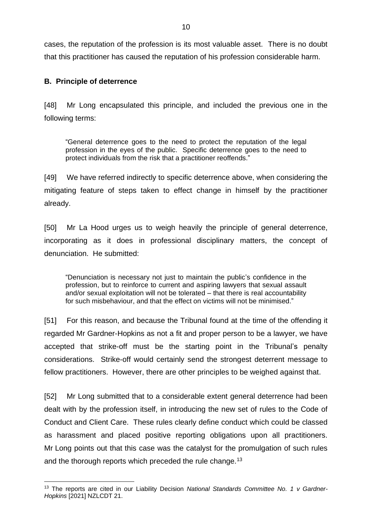cases, the reputation of the profession is its most valuable asset. There is no doubt that this practitioner has caused the reputation of his profession considerable harm.

## **B. Principle of deterrence**

[48] Mr Long encapsulated this principle, and included the previous one in the following terms:

"General deterrence goes to the need to protect the reputation of the legal profession in the eyes of the public. Specific deterrence goes to the need to protect individuals from the risk that a practitioner reoffends."

[49] We have referred indirectly to specific deterrence above, when considering the mitigating feature of steps taken to effect change in himself by the practitioner already.

[50] Mr La Hood urges us to weigh heavily the principle of general deterrence, incorporating as it does in professional disciplinary matters, the concept of denunciation. He submitted:

"Denunciation is necessary not just to maintain the public's confidence in the profession, but to reinforce to current and aspiring lawyers that sexual assault and/or sexual exploitation will not be tolerated – that there is real accountability for such misbehaviour, and that the effect on victims will not be minimised."

[51] For this reason, and because the Tribunal found at the time of the offending it regarded Mr Gardner-Hopkins as not a fit and proper person to be a lawyer, we have accepted that strike-off must be the starting point in the Tribunal's penalty considerations. Strike-off would certainly send the strongest deterrent message to fellow practitioners. However, there are other principles to be weighed against that.

[52] Mr Long submitted that to a considerable extent general deterrence had been dealt with by the profession itself, in introducing the new set of rules to the Code of Conduct and Client Care. These rules clearly define conduct which could be classed as harassment and placed positive reporting obligations upon all practitioners. Mr Long points out that this case was the catalyst for the promulgation of such rules and the thorough reports which preceded the rule change.<sup>13</sup>

<sup>&</sup>lt;sup>13</sup> The reports are cited in our Liability Decision National Standards Committee No. 1 v Gardner-*Hopkins* [2021] NZLCDT 21.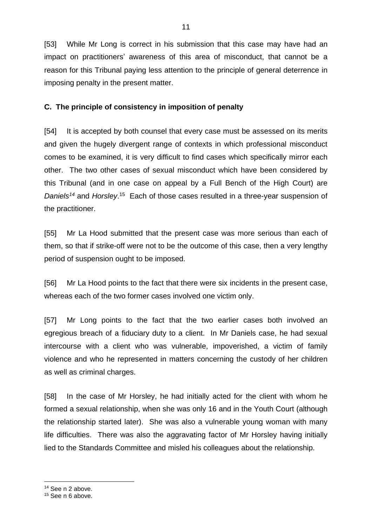[53] While Mr Long is correct in his submission that this case may have had an impact on practitioners' awareness of this area of misconduct, that cannot be a reason for this Tribunal paying less attention to the principle of general deterrence in imposing penalty in the present matter.

11

### **C. The principle of consistency in imposition of penalty**

[54] It is accepted by both counsel that every case must be assessed on its merits and given the hugely divergent range of contexts in which professional misconduct comes to be examined, it is very difficult to find cases which specifically mirror each other. The two other cases of sexual misconduct which have been considered by this Tribunal (and in one case on appeal by a Full Bench of the High Court) are Daniels<sup>14</sup> and Horsley.<sup>15</sup> Each of those cases resulted in a three-year suspension of the practitioner.

[55] Mr La Hood submitted that the present case was more serious than each of them, so that if strike-off were not to be the outcome of this case, then a very lengthy period of suspension ought to be imposed.

[56] Mr La Hood points to the fact that there were six incidents in the present case, whereas each of the two former cases involved one victim only.

[57] Mr Long points to the fact that the two earlier cases both involved an egregious breach of a fiduciary duty to a client. In Mr Daniels case, he had sexual intercourse with a client who was vulnerable, impoverished, a victim of family violence and who he represented in matters concerning the custody of her children as well as criminal charges.

[58] In the case of Mr Horsley, he had initially acted for the client with whom he formed a sexual relationship, when she was only 16 and in the Youth Court (although the relationship started later). She was also a vulnerable young woman with many life difficulties. There was also the aggravating factor of Mr Horsley having initially lied to the Standards Committee and misled his colleagues about the relationship.

<sup>&</sup>lt;sup>14</sup> See n 2 above.

<sup>&</sup>lt;sup>15</sup> See n 6 above.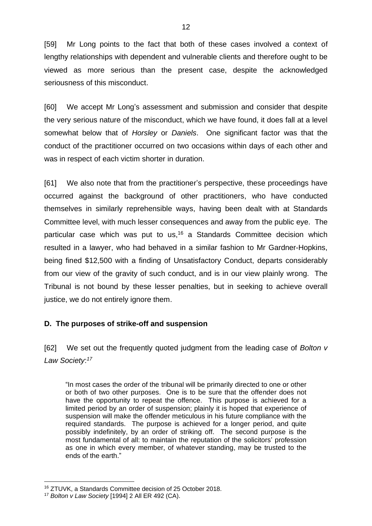[59] Mr Long points to the fact that both of these cases involved a context of lengthy relationships with dependent and vulnerable clients and therefore ought to be viewed as more serious than the present case, despite the acknowledged seriousness of this misconduct.

[60] We accept Mr Long's assessment and submission and consider that despite the very serious nature of the misconduct, which we have found, it does fall at a level somewhat below that of *Horsley* or *Daniels*. One significant factor was that the conduct of the practitioner occurred on two occasions within days of each other and was in respect of each victim shorter in duration.

[61] We also note that from the practitioner's perspective, these proceedings have occurred against the background of other practitioners, who have conducted themselves in similarly reprehensible ways, having been dealt with at Standards Committee level, with much lesser consequences and away from the public eye. The particular case which was put to us,<sup>16</sup> a Standards Committee decision which resulted in a lawyer, who had behaved in a similar fashion to Mr Gardner-Hopkins, being fined \$12,500 with a finding of Unsatisfactory Conduct, departs considerably from our view of the gravity of such conduct, and is in our view plainly wrong. The Tribunal is not bound by these lesser penalties, but in seeking to achieve overall justice, we do not entirely ignore them.

#### **D. The purposes of strike-off and suspension**

[62] We set out the frequently quoted judgment from the leading case of *Bolton v Law Society*: *17*

"In most cases the order of the tribunal will be primarily directed to one or other or both of two other purposes. One is to be sure that the offender does not have the opportunity to repeat the offence. This purpose is achieved for a limited period by an order of suspension; plainly it is hoped that experience of suspension will make the offender meticulous in his future compliance with the required standards. The purpose is achieved for a longer period, and quite possibly indefinitely, by an order of striking off. The second purpose is the most fundamental of all: to maintain the reputation of the solicitors' profession as one in which every member, of whatever standing, may be trusted to the ends of the earth."

<sup>16</sup> ZTUVK, a Standards Committee decision of 25 October 2018.

<sup>17</sup> *Bolton v Law Society* [1994] 2 All ER 492 (CA).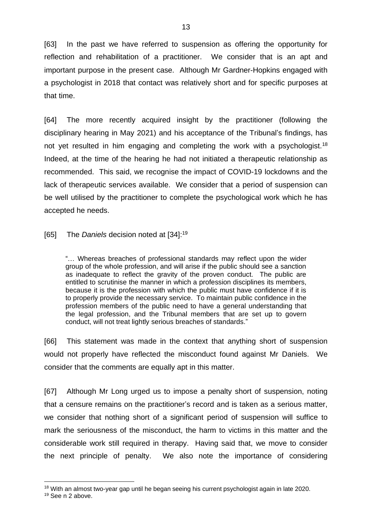[63] In the past we have referred to suspension as offering the opportunity for reflection and rehabilitation of a practitioner. We consider that is an apt and important purpose in the present case. Although Mr Gardner-Hopkins engaged with a psychologist in 2018 that contact was relatively short and for specific purposes at that time.

[64] The more recently acquired insight by the practitioner (following the disciplinary hearing in May 2021) and his acceptance of the Tribunal's findings, has not yet resulted in him engaging and completing the work with a psychologist.<sup>18</sup> Indeed, at the time of the hearing he had not initiated a therapeutic relationship as recommended. This said, we recognise the impact of COVID-19 lockdowns and the lack of therapeutic services available. We consider that a period of suspension can be well utilised by the practitioner to complete the psychological work which he has accepted he needs.

[65] The *Daniels* decision noted at [34]: 19

"… Whereas breaches of professional standards may reflect upon the wider group of the whole profession, and will arise if the public should see a sanction as inadequate to reflect the gravity of the proven conduct. The public are entitled to scrutinise the manner in which a profession disciplines its members, because it is the profession with which the public must have confidence if it is to properly provide the necessary service. To maintain public confidence in the profession members of the public need to have a general understanding that the legal profession, and the Tribunal members that are set up to govern conduct, will not treat lightly serious breaches of standards."

[66] This statement was made in the context that anything short of suspension would not properly have reflected the misconduct found against Mr Daniels. We consider that the comments are equally apt in this matter.

[67] Although Mr Long urged us to impose a penalty short of suspension, noting that a censure remains on the practitioner's record and is taken as a serious matter, we consider that nothing short of a significant period of suspension will suffice to mark the seriousness of the misconduct, the harm to victims in this matter and the considerable work still required in therapy. Having said that, we move to consider the next principle of penalty. We also note the importance of considering

<sup>&</sup>lt;sup>18</sup> With an almost two-year gap until he began seeing his current psychologist again in late 2020.

<sup>19</sup> See n 2 above.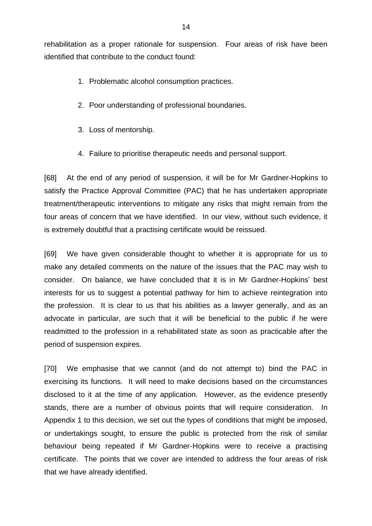rehabilitation as a proper rationale for suspension. Four areas of risk have been identified that contribute to the conduct found:

- 1. Problematic alcohol consumption practices.
- 2. Poor understanding of professional boundaries.
- 3. Loss of mentorship.
- 4. Failure to prioritise therapeutic needs and personal support.

[68] At the end of any period of suspension, it will be for Mr Gardner-Hopkins to satisfy the Practice Approval Committee (PAC) that he has undertaken appropriate treatment/therapeutic interventions to mitigate any risks that might remain from the four areas of concern that we have identified. In our view, without such evidence, it is extremely doubtful that a practising certificate would be reissued.

[69] We have given considerable thought to whether it is appropriate for us to make any detailed comments on the nature of the issues that the PAC may wish to consider. On balance, we have concluded that it is in Mr Gardner-Hopkins' best interests for us to suggest a potential pathway for him to achieve reintegration into the profession. It is clear to us that his abilities as a lawyer generally, and as an advocate in particular, are such that it will be beneficial to the public if he were readmitted to the profession in a rehabilitated state as soon as practicable after the period of suspension expires.

[70] We emphasise that we cannot (and do not attempt to) bind the PAC in exercising its functions. It will need to make decisions based on the circumstances disclosed to it at the time of any application. However, as the evidence presently stands, there are a number of obvious points that will require consideration. In Appendix 1 to this decision, we set out the types of conditions that might be imposed, or undertakings sought, to ensure the public is protected from the risk of similar behaviour being repeated if Mr Gardner-Hopkins were to receive a practising certificate. The points that we cover are intended to address the four areas of risk that we have already identified.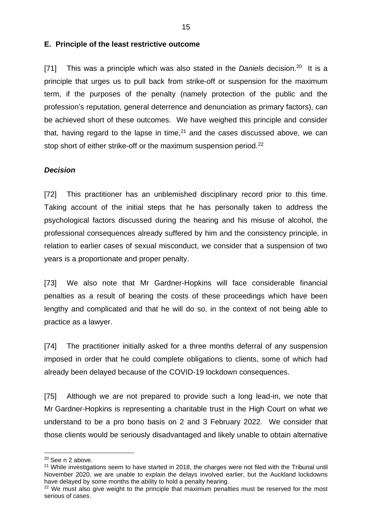#### **E. Principle of the least restrictive outcome**

[71] This was a principle which was also stated in the *Daniels* decision.<sup>20</sup> It is a principle that urges us to pull back from strike-off or suspension for the maximum term, if the purposes of the penalty (namely protection of the public and the profession's reputation, general deterrence and denunciation as primary factors), can be achieved short of these outcomes. We have weighed this principle and consider that, having regard to the lapse in time, $21$  and the cases discussed above, we can stop short of either strike-off or the maximum suspension period.<sup>22</sup>

#### *Decision*

[72] This practitioner has an unblemished disciplinary record prior to this time. Taking account of the initial steps that he has personally taken to address the psychological factors discussed during the hearing and his misuse of alcohol, the professional consequences already suffered by him and the consistency principle, in relation to earlier cases of sexual misconduct, we consider that a suspension of two years is a proportionate and proper penalty.

[73] We also note that Mr Gardner-Hopkins will face considerable financial penalties as a result of bearing the costs of these proceedings which have been lengthy and complicated and that he will do so, in the context of not being able to practice as a lawyer.

[74] The practitioner initially asked for a three months deferral of any suspension imposed in order that he could complete obligations to clients, some of which had already been delayed because of the COVID-19 lockdown consequences.

[75] Although we are not prepared to provide such a long lead-in, we note that Mr Gardner-Hopkins is representing a charitable trust in the High Court on what we understand to be a pro bono basis on 2 and 3 February 2022. We consider that those clients would be seriously disadvantaged and likely unable to obtain alternative

<sup>&</sup>lt;sup>20</sup> See n 2 above.

 $21$  While investigations seem to have started in 2018, the charges were not filed with the Tribunal until November 2020, we are unable to explain the delays involved earlier, but the Auckland lockdowns have delayed by some months the ability to hold a penalty hearing.

<sup>&</sup>lt;sup>22</sup> We must also give weight to the principle that maximum penalties must be reserved for the most serious of cases.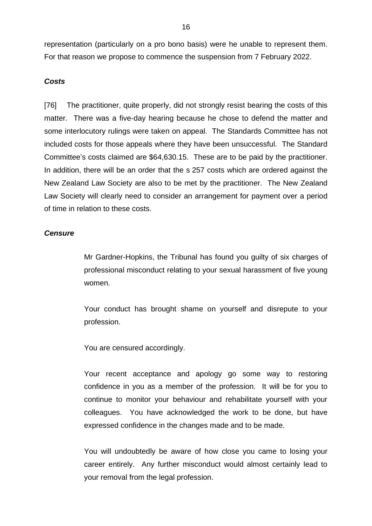representation (particularly on a pro bono basis) were he unable to represent them. For that reason we propose to commence the suspension from 7 February 2022.

#### *Costs*

[76] The practitioner, quite properly, did not strongly resist bearing the costs of this matter. There was a five-day hearing because he chose to defend the matter and some interlocutory rulings were taken on appeal. The Standards Committee has not included costs for those appeals where they have been unsuccessful. The Standard Committee's costs claimed are \$64,630.15. These are to be paid by the practitioner. In addition, there will be an order that the s 257 costs which are ordered against the New Zealand Law Society are also to be met by the practitioner. The New Zealand Law Society will clearly need to consider an arrangement for payment over a period of time in relation to these costs.

#### *Censure*

Mr Gardner-Hopkins, the Tribunal has found you guilty of six charges of professional misconduct relating to your sexual harassment of five young women.

Your conduct has brought shame on yourself and disrepute to your profession.

You are censured accordingly.

Your recent acceptance and apology go some way to restoring confidence in you as a member of the profession. It will be for you to continue to monitor your behaviour and rehabilitate yourself with your colleagues. You have acknowledged the work to be done, but have expressed confidence in the changes made and to be made.

You will undoubtedly be aware of how close you came to losing your career entirely. Any further misconduct would almost certainly lead to your removal from the legal profession.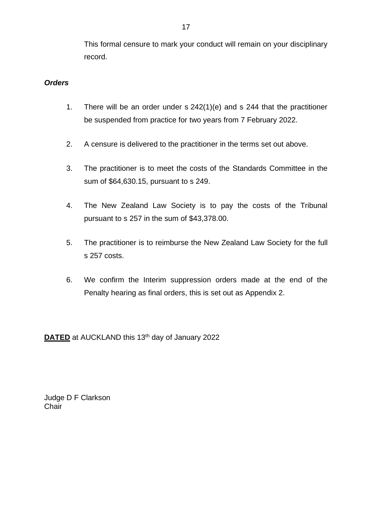This formal censure to mark your conduct will remain on your disciplinary record.

### *Orders*

- 1. There will be an order under s 242(1)(e) and s 244 that the practitioner be suspended from practice for two years from 7 February 2022.
- 2. A censure is delivered to the practitioner in the terms set out above.
- 3. The practitioner is to meet the costs of the Standards Committee in the sum of \$64,630.15, pursuant to s 249.
- 4. The New Zealand Law Society is to pay the costs of the Tribunal pursuant to s 257 in the sum of \$43,378.00.
- 5. The practitioner is to reimburse the New Zealand Law Society for the full s 257 costs.
- 6. We confirm the Interim suppression orders made at the end of the Penalty hearing as final orders, this is set out as Appendix 2.

**DATED** at AUCKLAND this 13<sup>th</sup> day of January 2022

Judge D F Clarkson **Chair**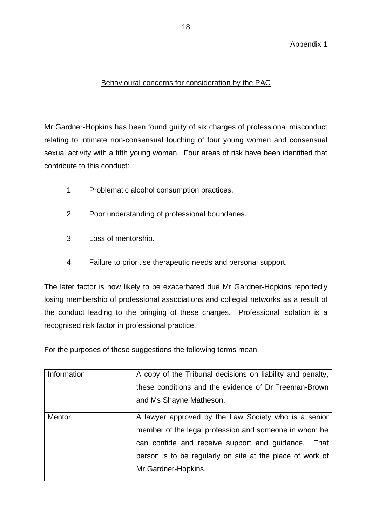## Behavioural concerns for consideration by the PAC

Mr Gardner-Hopkins has been found guilty of six charges of professional misconduct relating to intimate non-consensual touching of four young women and consensual sexual activity with a fifth young woman. Four areas of risk have been identified that contribute to this conduct:

- 1. Problematic alcohol consumption practices.
- 2. Poor understanding of professional boundaries.
- 3. Loss of mentorship.
- 4. Failure to prioritise therapeutic needs and personal support.

The later factor is now likely to be exacerbated due Mr Gardner-Hopkins reportedly losing membership of professional associations and collegial networks as a result of the conduct leading to the bringing of these charges. Professional isolation is a recognised risk factor in professional practice.

For the purposes of these suggestions the following terms mean:

| Information   | A copy of the Tribunal decisions on liability and penalty, |
|---------------|------------------------------------------------------------|
|               | these conditions and the evidence of Dr Freeman-Brown      |
|               | and Ms Shayne Matheson.                                    |
| <b>Mentor</b> | A lawyer approved by the Law Society who is a senior       |
|               | member of the legal profession and someone in whom he      |
|               | can confide and receive support and guidance.<br>That      |
|               | person is to be regularly on site at the place of work of  |
|               | Mr Gardner-Hopkins.                                        |
|               |                                                            |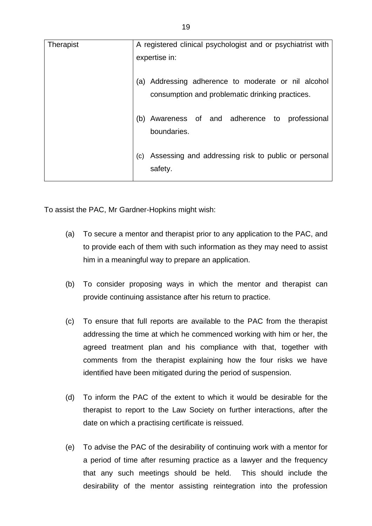| Therapist | A registered clinical psychologist and or psychiatrist with                                               |
|-----------|-----------------------------------------------------------------------------------------------------------|
|           | expertise in:                                                                                             |
|           | Addressing adherence to moderate or nil alcohol<br>(a)<br>consumption and problematic drinking practices. |
|           | (b) Awareness of and adherence to professional<br>boundaries.                                             |
|           | Assessing and addressing risk to public or personal<br>(c)<br>safety.                                     |

To assist the PAC, Mr Gardner-Hopkins might wish:

- (a) To secure a mentor and therapist prior to any application to the PAC, and to provide each of them with such information as they may need to assist him in a meaningful way to prepare an application.
- (b) To consider proposing ways in which the mentor and therapist can provide continuing assistance after his return to practice.
- (c) To ensure that full reports are available to the PAC from the therapist addressing the time at which he commenced working with him or her, the agreed treatment plan and his compliance with that, together with comments from the therapist explaining how the four risks we have identified have been mitigated during the period of suspension.
- (d) To inform the PAC of the extent to which it would be desirable for the therapist to report to the Law Society on further interactions, after the date on which a practising certificate is reissued.
- (e) To advise the PAC of the desirability of continuing work with a mentor for a period of time after resuming practice as a lawyer and the frequency that any such meetings should be held. This should include the desirability of the mentor assisting reintegration into the profession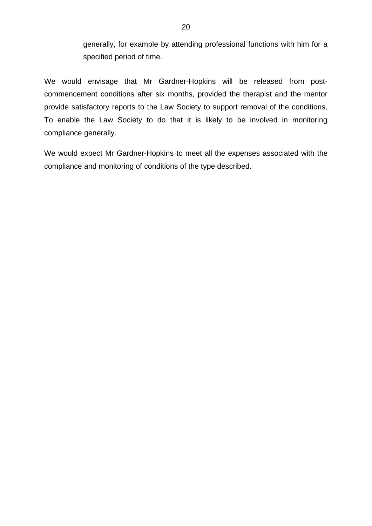generally, for example by attending professional functions with him for a specified period of time.

We would envisage that Mr Gardner-Hopkins will be released from postcommencement conditions after six months, provided the therapist and the mentor provide satisfactory reports to the Law Society to support removal of the conditions. To enable the Law Society to do that it is likely to be involved in monitoring compliance generally.

We would expect Mr Gardner-Hopkins to meet all the expenses associated with the compliance and monitoring of conditions of the type described.